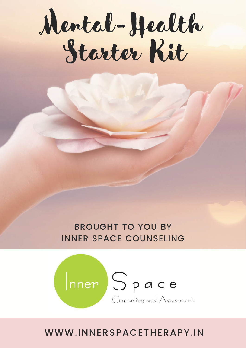# Mental-Health Starter Kit

#### BROUGHT TO YOU BY INNER SPACE COUNSELING



#### WWW.INNERSPACETHERAPY.IN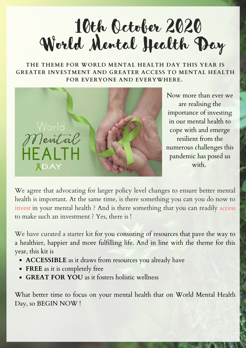

**THE THEME FOR WORLD MENTAL HEALTH DAY THIS YEAR IS GREATER INVESTMENT AND GREATER ACCESS TO MENTAL HEALTH FOR EVERYONE AND EVERYWHERE.**



Now more than ever we are realising the importance of investing in our mental health to cope with and emerge resilient from the numerous challenges this pandemic has posed us with.

We agree that advocating for larger policy level changes to ensure better mental health is important. At the same time, is there something you can you do now to invest in your mental health ? And is there something that you can readily access to make such an investment ? Yes, there is !

We have curated a starter kit for you consisting of resources that pave the way to a healthier, happier and more fulfilling life. And in line with the theme for this year, this kit is

- **ACCESSIBLE** as it draws from resources you already have
- **FREE** as it is completely free
- **GREAT FOR YOU** as it fosters holistic wellness

What better time to focus on your mental health that on World Mental Health Day, so BEGIN NOW !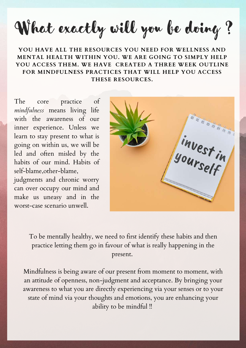What exactly will you be doing ?

#### **YOU HAVE ALL THE RESOURCES YOU NEED FOR WELLNESS AND MENTAL HEALTH WITHIN YOU. WE ARE GOING TO SIMPLY HELP YOU ACCESS THEM. WE HAVE CREATED A THREE WEEK OUTLINE FOR MINDFULNESS PRACTICES THAT WILL HELP YOU ACCESS THESE RESOURCES.**

The core practice of *mindfulness* means living life with the awareness of our inner experience. Unless we learn to stay present to what is going on within us, we will be led and often misled by the habits of our mind. Habits of self-blame,other-blame,

judgments and chronic worry can over occupy our mind and make us uneasy and in the worst-case scenario unwell.



To be mentally healthy, we need to first identify these habits and then practice letting them go in favour of what is really happening in the present.

Mindfulness is being aware of our present from moment to moment, with an attitude of openness, non-judgment and acceptance. By bringing your awareness to what you are directly experiencing via your senses or to your state of mind via your thoughts and emotions, you are enhancing your ability to be mindful !!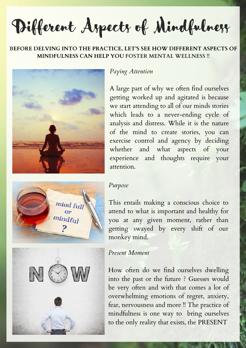Different Aspects of Mindfulness

#### **BEFORE DELVING INTO THE PRACTICE, LET'S SEE HOW DIFFERENT ASPECTS OF MINDFULNESS CAN HELP YOU FOSTER MENTAL WELLNESS !!**



#### *Paying Attention*

A large part of why we often find ourselves getting worked up and agitated is because we start attending to all of our minds stories which leads to a never-ending cycle of analysis and distress. While it is the nature of the mind to create stories, you can exercise control and agency by deciding whether and what aspects of your experience and thoughts require your attention.



#### *Purpose*

This entails making a conscious choice to attend to what is important and healthy for you at any given moment, rather than getting swayed by every shift of our monkey mind.

*Present Moment*

How often do we find ourselves dwelling into the past or the future ? Guesses would be very often and with that comes a lot of overwhelming emotions of regret, anxiety, fear, nervousness and more !! The practice of mindfulness is one way to bring ourselves to the only reality that exists, the PRESENT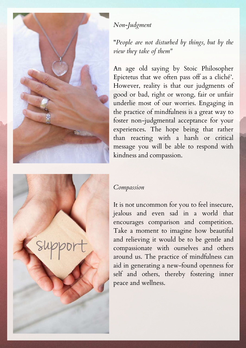

#### *Non-Judgment*

"*People are not disturbed by things, but by the view they take of them"*

An age old saying by Stoic Philosopher Epictetus that we often pass off as a cliché'. However, reality is that our judgments of good or bad, right or wrong, fair or unfair underlie most of our worries. Engaging in the practice of mindfulness is a great way to foster non-judgmental acceptance for your experiences. The hope being that rather than reacting with a harsh or critical message you will be able to respond with kindness and compassion.



#### *Compassion*

It is not uncommon for you to feel insecure, jealous and even sad in a world that encourages comparison and competition. Take a moment to imagine how beautiful and relieving it would be to be gentle and compassionate with ourselves and others around us. The practice of mindfulness can aid in generating a new-found openness for self and others, thereby fostering inner peace and wellness.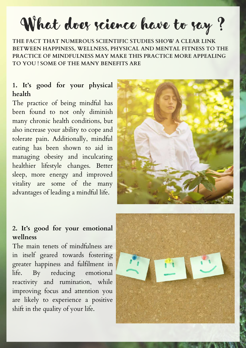What does science have to say?

**THE FACT THAT NUMEROUS SCIENTIFIC STUDIES SHOW A CLEAR LINK BETWEEN HAPPINESS, WELLNESS, PHYSICAL AND MENTAL FITNESS TO THE PRACTICE OF MINDFULNESS MAY MAKE THIS PRACTICE MORE APPEALING TO YOU ! SOME OF THE MANY BENEFITS ARE**

#### **1. It's good for your physical health**

The practice of being mindful has been found to not only diminish many chronic health conditions, but also increase your ability to cope and tolerate pain. Additionally, mindful eating has been shown to aid in managing obesity and inculcating healthier lifestyle changes. Better sleep, more energy and improved vitality are some of the many advantages of leading a mindful life.



#### **2. It's good for your emotional wellness**

The main tenets of mindfulness are in itself geared towards fostering greater happiness and fulfilment in life. By reducing emotional reactivity and rumination, while improving focus and attention you are likely to experience a positive shift in the quality of your life.

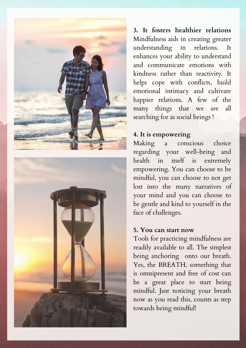



**3. It fosters healthier relations** Mindfulness aids in creating greater understanding in relations. It enhances your ability to understand and communicate emotions with kindness rather than reactivity. It helps cope with conflicts, build emotional intimacy and cultivate happier relations. A few of the many things that we are all searching for as social beings !

#### **4. It is empowering**

Making a conscious choice regarding your well-being and health in itself is extremely empowering. You can choose to be mindful, you can choose to not get lost into the many narratives of your mind and you can choose to be gentle and kind to yourself in the face of challenges.

#### **5. You can start now**

Tools for practicing mindfulness are readily available to all. The simplest being anchoring onto our breath. Yes, the BREATH, something that is omnipresent and free of cost can be a great place to start being mindful. Just noticing your breath now as you read this, counts as step towards being mindful!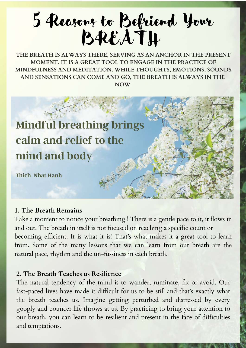# 5 Reasons to Befriend Your BREATH

**THE BREATH IS ALWAYS THERE, SERVING AS AN ANCHOR IN THE PRESENT MOMENT. IT IS A GREAT TOOL TO ENGAGE IN THE PRACTICE OF MINDFULNESS AND MEDITATION. WHILE THOUGHTS, EMOTIONS, SOUNDS AND SENSATIONS CAN COME AND GO, THE BREATH IS ALWAYS IN THE NOW**

![](_page_7_Picture_2.jpeg)

#### **1. The Breath Remains**

Take a moment to notice your breathing ! There is a gentle pace to it, it flows in and out. The breath in itself is not focused on reaching a specific count or becoming efficient. It is what it is! That's what makes it a great tool to learn from. Some of the many lessons that we can learn from our breath are the natural pace, rhythm and the un-fussiness in each breath.

#### **2. The Breath Teaches us Resilience**

The natural tendency of the mind is to wander, ruminate, fix or avoid. Our fast-paced lives have made it difficult for us to be still and that's exactly what the breath teaches us. Imagine getting perturbed and distressed by every googly and bouncer life throws at us. By practicing to bring your attention to our breath, you can learn to be resilient and present in the face of difficulties and temptations.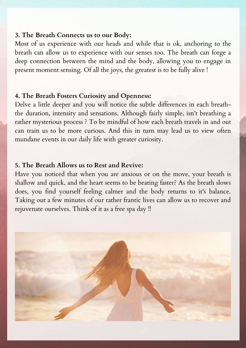#### **3. The Breath Connects us to our Body:**

Most of us experience with our heads and while that is ok, anchoring to the breath can allow us to experience with our senses too. The breath can forge a deep connection between the mind and the body, allowing you to engage in present moment sensing. Of all the joys, the greatest is to be fully alive !

#### **4. The Breath Fosters Curiosity and [Openness:](https://www.youtube.com/watch?v=x3IzH0AU0SA)**

Delve a little deeper and you will notice the subtle differences in each breaththe duration, intensity and sensations. Although fairly simple, isn't breathing a rather mysterious process ? To be mindful of how each breath travels in and out can train us to be more curious. And this in turn may lead us to view often mundane events in our daily life with greater curiosity.

#### **5. The Breath Allows us to Rest and Revive:**

Have you noticed that when you are anxious or on the move, your breath is shallow and quick, and the heart seems to be beating faster? As the breath slows does, you find yourself feeling calmer and the body returns to it's balance. Taking out a few minutes of our rather frantic lives can allow us to recover and rejuvenate ourselves. Think of it as a free spa day !!

![](_page_8_Picture_6.jpeg)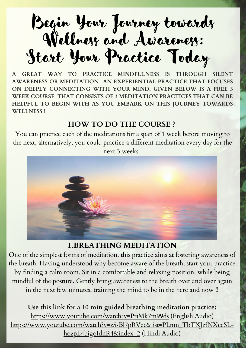Begin Your Journey towards Wellness and Awareness: Start Your Practice Today

**A GREAT WAY TO PRACTICE MINDFULNESS IS THROUGH SILENT AWARENESS OR MEDITATION- AN EXPERIENTIAL PRACTICE THAT FOCUSES ON DEEPLY CONNECTING WITH YOUR MIND. GIVEN BELOW IS A FREE 3 WEEK COURSE THAT CONSISTS OF 3 MEDITATION PRACTICES THAT CAN BE HELPFUL TO BEGIN WITH AS YOU EMBARK ON THIS JOURNEY TOWARDS WELLNESS !**

#### **HOW TO DO THE [COURSE](https://www.youtube.com/watch?v=x3IzH0AU0SA) [?](https://www.youtube.com/watch?v=x3IzH0AU0SA)**

You can practice each of the meditations for a span of 1 week before moving to the next, [alternatively,](https://www.youtube.com/watch?v=x3IzH0AU0SA) you could practice a different meditation every day for the

next 3 weeks[.](https://www.youtube.com/watch?v=x3IzH0AU0SA)

![](_page_9_Picture_5.jpeg)

#### **1.BREATHING [MEDITATION](https://www.youtube.com/watch?v=x3IzH0AU0SA)**

One of the simplest forms of meditation, this practice aims at fostering awareness of the breath. Having understood why become aware of the breath, start your practice by finding a calm room. Sit in a [comfortable](https://www.youtube.com/watch?v=x3IzH0AU0SA) and relaxing position, while being mindful of the posture. Gently bring awareness to the breath over and over again in the next few minutes, training the mind to be in the here and now !!

**Use this link for a 10 min guided breathing [meditation](https://www.youtube.com/watch?v=x3IzH0AU0SA) practice:** <https://www.youtube.com/watch?v=PriMk7m99ds> (English Audio) [https://www.youtube.com/watch?v=z5sBl7pRVec&list=PLnm\\_TbTXJzfNXceSL](https://www.youtube.com/watch?v=z5sBl7pRVec&list=PLnm_TbTXJzfNXceSL-hozpL4bigoIdnR4&index=2)hozpL4bigoIdnR4&index=2 (Hindi Audio)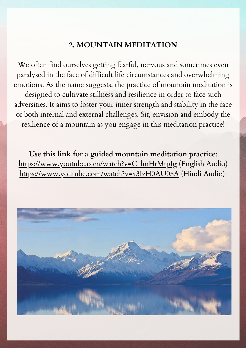#### **2. [M](https://www.youtube.com/watch?v=PriMk7m99ds)OUNTAIN MEDITATION**

We often find ourselves getting fearful, nervous and sometimes even paralysed in the face of difficult life circumstances and [overwhelming](https://www.youtube.com/watch?v=PriMk7m99ds) emotions. As the name suggests, the practice of mountain meditation is designed to cultivate stillness and resilience in order to face such adversities. It aims to foster your inner strength and stability in the face of both internal and external challenges. Sit, envision and embody the resilience of a mountain as you engage in this meditation practice!

**Use this link for a guided mountain [meditation](https://www.youtube.com/watch?v=PriMk7m99ds) practice**: [https://www.youtube.com/watch?v=C\\_lmHtMtpIg](https://www.youtube.com/watch?v=C_lmHtMtpIg) (English Audio) <https://www.youtube.com/watch?v=x3IzH0AU0SA> (Hindi Audio)

![](_page_10_Picture_3.jpeg)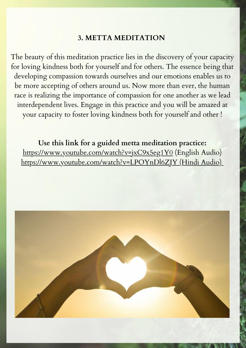#### **3. METTA MEDITATION**

The beauty of this meditation practice lies in the discovery of your capacity for loving kindness both for yourself and for others. The essence being that developing compassion towards ourselves and our emotions enables us to be more accepting of others around us. Now more than ever, the human race is realizing the importance of compassion for one another as we lead [interdependent](https://www.youtube.com/watch?v=PriMk7m99ds) lives. Engage in this practice and you will be amazed at your capacity to foster loving kindness both for yourself and other !

**Use this link for a guided metta meditation practice:** <https://www.youtube.com/watch?v=jxC9x5eg1Y0> (English Audio) <https://www.youtube.com/watch?v=LPOYnDl6ZJY> (Hindi Audio)

![](_page_11_Picture_3.jpeg)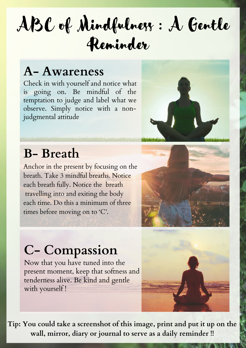# ABC of Mindfulness : A Gentle Reminder

### **A- Awareness**

Check in with yourself and notice what is going on. Be mindful of the temptation to judge and label what we observe. Simply notice with a nonjudgmental attitude

![](_page_12_Picture_3.jpeg)

### **B- Breath**

Anchor in the present by focusing on the breath. Take 3 mindful breaths. Notice each breath fully. Notice the breath travelling into and exiting the body each time. Do this a minimum of three times before moving on to 'C'.

![](_page_12_Picture_6.jpeg)

## **C- Compassion**

Now that you have tuned into the present moment, keep that softness and tenderness alive. Be kind and gentle with yourself !

![](_page_12_Picture_9.jpeg)

**Tip: You could take a screenshot of this image, print and put it up on the wall, mirror, diary or journal to serve as a daily reminder !!**